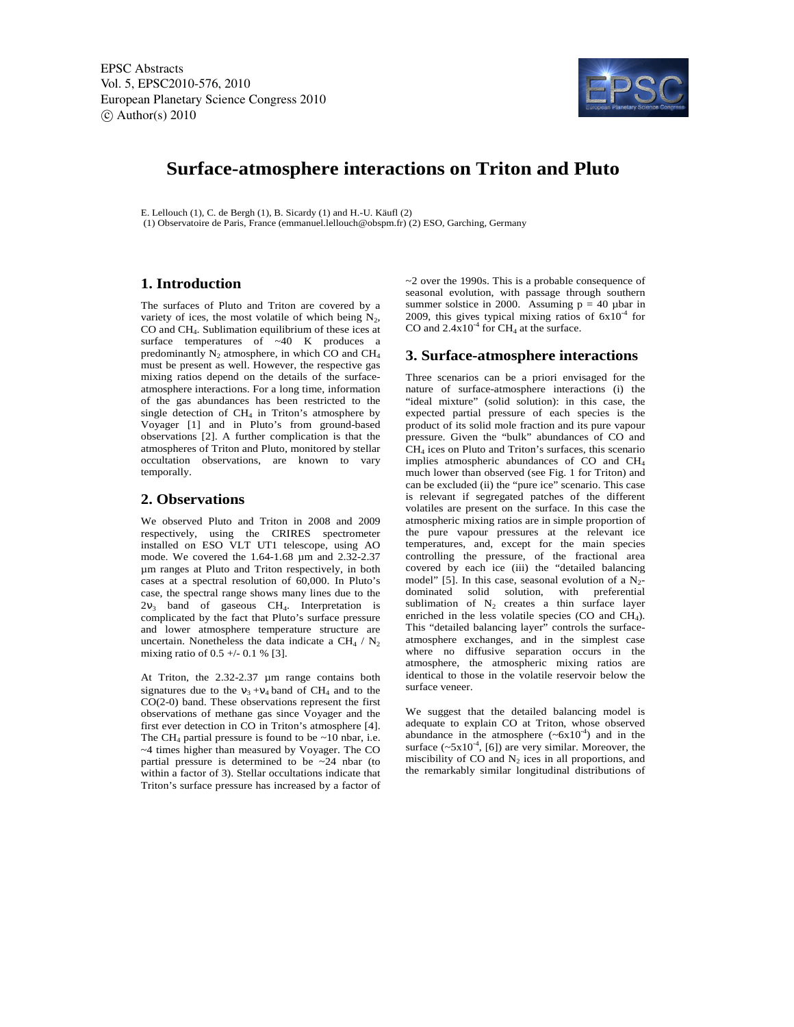EPSC Abstracts Vol. 5, EPSC2010-576, 2010 European Planetary Science Congress 2010  $\circ$  Author(s) 2010



# **Surface-atmosphere interactions on Triton and Pluto**

E. Lellouch (1), C. de Bergh (1), B. Sicardy (1) and H.-U. Käufl (2) (1) Observatoire de Paris, France (emmanuel.lellouch@obspm.fr) (2) ESO, Garching, Germany

## **1. Introduction**

The surfaces of Pluto and Triton are covered by a variety of ices, the most volatile of which being  $N_2$ , CO and CH4. Sublimation equilibrium of these ices at surface temperatures of ~40 K produces a predominantly  $N_2$  atmosphere, in which CO and CH<sub>4</sub> must be present as well. However, the respective gas mixing ratios depend on the details of the surfaceatmosphere interactions. For a long time, information of the gas abundances has been restricted to the single detection of CH<sub>4</sub> in Triton's atmosphere by Voyager [1] and in Pluto's from ground-based observations [2]. A further complication is that the atmospheres of Triton and Pluto, monitored by stellar occultation observations, are known to vary temporally.

## **2. Observations**

We observed Pluto and Triton in 2008 and 2009 respectively, using the CRIRES spectrometer installed on ESO VLT UT1 telescope, using AO mode. We covered the 1.64-1.68 µm and 2.32-2.37 µm ranges at Pluto and Triton respectively, in both cases at a spectral resolution of 60,000. In Pluto's case, the spectral range shows many lines due to the  $2v_3$  band of gaseous CH<sub>4</sub>. Interpretation is complicated by the fact that Pluto's surface pressure and lower atmosphere temperature structure are uncertain. Nonetheless the data indicate a CH<sub>4</sub> /  $N_2$ mixing ratio of  $0.5 +/- 0.1$  % [3].

At Triton, the 2.32-2.37 µm range contains both signatures due to the  $v_3 + v_4$  band of CH<sub>4</sub> and to the CO(2-0) band. These observations represent the first observations of methane gas since Voyager and the first ever detection in CO in Triton's atmosphere [4]. The CH<sub>4</sub> partial pressure is found to be  $\sim$ 10 nbar, i.e. ~4 times higher than measured by Voyager. The CO partial pressure is determined to be ~24 nbar (to within a factor of 3). Stellar occultations indicate that Triton's surface pressure has increased by a factor of ~2 over the 1990s. This is a probable consequence of seasonal evolution, with passage through southern summer solstice in 2000. Assuming  $p = 40$  µbar in 2009, this gives typical mixing ratios of  $6x10^{-4}$  for CO and  $2.4x10^4$  for CH<sub>4</sub> at the surface.

#### **3. Surface-atmosphere interactions**

Three scenarios can be a priori envisaged for the nature of surface-atmosphere interactions (i) the "ideal mixture" (solid solution): in this case, the expected partial pressure of each species is the product of its solid mole fraction and its pure vapour pressure. Given the "bulk" abundances of CO and  $CH<sub>4</sub>$  ices on Pluto and Triton's surfaces, this scenario implies atmospheric abundances of CO and CH<sup>4</sup> much lower than observed (see Fig. 1 for Triton) and can be excluded (ii) the "pure ice" scenario. This case is relevant if segregated patches of the different volatiles are present on the surface. In this case the atmospheric mixing ratios are in simple proportion of the pure vapour pressures at the relevant ice temperatures, and, except for the main species controlling the pressure, of the fractional area covered by each ice (iii) the "detailed balancing model" [5]. In this case, seasonal evolution of a  $N_2$ dominated solid solution, with preferential sublimation of  $N_2$  creates a thin surface layer enriched in the less volatile species (CO and CH4). This "detailed balancing layer" controls the surfaceatmosphere exchanges, and in the simplest case where no diffusive separation occurs in the atmosphere, the atmospheric mixing ratios are identical to those in the volatile reservoir below the surface veneer.

We suggest that the detailed balancing model is adequate to explain CO at Triton, whose observed abundance in the atmosphere  $({\sim}6x10^{-4})$  and in the surface  $({\sim}5x10^{-4},$  [6]) are very similar. Moreover, the miscibility of  $CO$  and  $N_2$  ices in all proportions, and the remarkably similar longitudinal distributions of